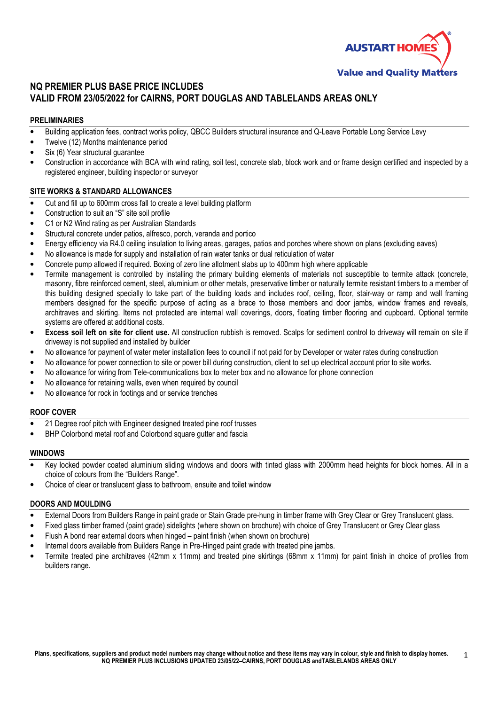

# NQ PREMIER PLUS BASE PRICE INCLUDES VALID FROM 23/05/2022 for CAIRNS, PORT DOUGLAS AND TABLELANDS AREAS ONLY

### PRELIMINARIES

- Building application fees, contract works policy, QBCC Builders structural insurance and Q-Leave Portable Long Service Levy
- Twelve (12) Months maintenance period
- Six (6) Year structural quarantee
- Construction in accordance with BCA with wind rating, soil test, concrete slab, block work and or frame design certified and inspected by a registered engineer, building inspector or surveyor

#### SITE WORKS & STANDARD ALLOWANCES

- Cut and fill up to 600mm cross fall to create a level building platform
- Construction to suit an "S" site soil profile
- C1 or N2 Wind rating as per Australian Standards
- Structural concrete under patios, alfresco, porch, veranda and portico
- Energy efficiency via R4.0 ceiling insulation to living areas, garages, patios and porches where shown on plans (excluding eaves)
- No allowance is made for supply and installation of rain water tanks or dual reticulation of water
- Concrete pump allowed if required. Boxing of zero line allotment slabs up to 400mm high where applicable
- Termite management is controlled by installing the primary building elements of materials not susceptible to termite attack (concrete, masonry, fibre reinforced cement, steel, aluminium or other metals, preservative timber or naturally termite resistant timbers to a member of this building designed specially to take part of the building loads and includes roof, ceiling, floor, stair-way or ramp and wall framing members designed for the specific purpose of acting as a brace to those members and door jambs, window frames and reveals, architraves and skirting. Items not protected are internal wall coverings, doors, floating timber flooring and cupboard. Optional termite systems are offered at additional costs.
- Excess soil left on site for client use. All construction rubbish is removed. Scalps for sediment control to driveway will remain on site if driveway is not supplied and installed by builder
- No allowance for payment of water meter installation fees to council if not paid for by Developer or water rates during construction
- No allowance for power connection to site or power bill during construction, client to set up electrical account prior to site works.
- No allowance for wiring from Tele-communications box to meter box and no allowance for phone connection
- No allowance for retaining walls, even when required by council
- No allowance for rock in footings and or service trenches

#### ROOF COVER

- 21 Degree roof pitch with Engineer designed treated pine roof trusses
- BHP Colorbond metal roof and Colorbond square gutter and fascia

#### WINDOWS

- Key locked powder coated aluminium sliding windows and doors with tinted glass with 2000mm head heights for block homes. All in a choice of colours from the "Builders Range".
- Choice of clear or translucent glass to bathroom, ensuite and toilet window

#### DOORS AND MOULDING

- External Doors from Builders Range in paint grade or Stain Grade pre-hung in timber frame with Grey Clear or Grey Translucent glass.
- Fixed glass timber framed (paint grade) sidelights (where shown on brochure) with choice of Grey Translucent or Grey Clear glass
- Flush A bond rear external doors when hinged paint finish (when shown on brochure)
- Internal doors available from Builders Range in Pre-Hinged paint grade with treated pine jambs.
- Termite treated pine architraves (42mm x 11mm) and treated pine skirtings (68mm x 11mm) for paint finish in choice of profiles from builders range.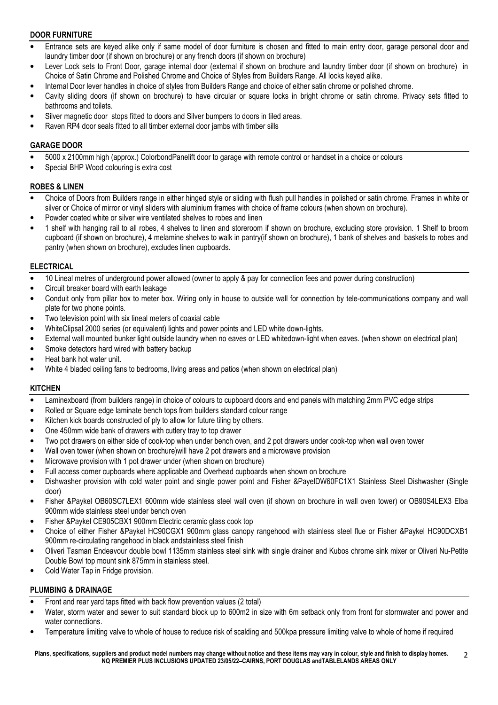## DOOR FURNITURE

- Entrance sets are keyed alike only if same model of door furniture is chosen and fitted to main entry door, garage personal door and laundry timber door (if shown on brochure) or any french doors (if shown on brochure)
- Lever Lock sets to Front Door, garage internal door (external if shown on brochure and laundry timber door (if shown on brochure) in Choice of Satin Chrome and Polished Chrome and Choice of Styles from Builders Range. All locks keyed alike.
- Internal Door lever handles in choice of styles from Builders Range and choice of either satin chrome or polished chrome.
- Cavity sliding doors (if shown on brochure) to have circular or square locks in bright chrome or satin chrome. Privacy sets fitted to bathrooms and toilets.
- Silver magnetic door stops fitted to doors and Silver bumpers to doors in tiled areas.
- Raven RP4 door seals fitted to all timber external door jambs with timber sills

### GARAGE DOOR

- 5000 x 2100mm high (approx.) ColorbondPanelift door to garage with remote control or handset in a choice or colours
- Special BHP Wood colouring is extra cost

#### ROBES & LINEN

- Choice of Doors from Builders range in either hinged style or sliding with flush pull handles in polished or satin chrome. Frames in white or silver or Choice of mirror or vinyl sliders with aluminium frames with choice of frame colours (when shown on brochure).
- Powder coated white or silver wire ventilated shelves to robes and linen
- 1 shelf with hanging rail to all robes, 4 shelves to linen and storeroom if shown on brochure, excluding store provision. 1 Shelf to broom cupboard (if shown on brochure), 4 melamine shelves to walk in pantry(if shown on brochure), 1 bank of shelves and baskets to robes and pantry (when shown on brochure), excludes linen cupboards.

#### ELECTRICAL

- 10 Lineal metres of underground power allowed (owner to apply & pay for connection fees and power during construction)
- Circuit breaker board with earth leakage
- Conduit only from pillar box to meter box. Wiring only in house to outside wall for connection by tele-communications company and wall plate for two phone points.
- Two television point with six lineal meters of coaxial cable
- WhiteClipsal 2000 series (or equivalent) lights and power points and LED white down-lights.
- External wall mounted bunker light outside laundry when no eaves or LED whitedown-light when eaves. (when shown on electrical plan)
- Smoke detectors hard wired with battery backup
- Heat bank hot water unit.
- White 4 bladed ceiling fans to bedrooms, living areas and patios (when shown on electrical plan)

### **KITCHEN**

- Laminexboard (from builders range) in choice of colours to cupboard doors and end panels with matching 2mm PVC edge strips
- Rolled or Square edge laminate bench tops from builders standard colour range
- Kitchen kick boards constructed of ply to allow for future tiling by others.
- One 450mm wide bank of drawers with cutlery tray to top drawer
- Two pot drawers on either side of cook-top when under bench oven, and 2 pot drawers under cook-top when wall oven tower
- Wall oven tower (when shown on brochure)will have 2 pot drawers and a microwave provision
- Microwave provision with 1 pot drawer under (when shown on brochure)
- Full access corner cupboards where applicable and Overhead cupboards when shown on brochure
- Dishwasher provision with cold water point and single power point and Fisher &PayelDW60FC1X1 Stainless Steel Dishwasher (Single door)
- Fisher &Paykel OB60SC7LEX1 600mm wide stainless steel wall oven (if shown on brochure in wall oven tower) or OB90S4LEX3 Elba 900mm wide stainless steel under bench oven
- Fisher &Paykel CE905CBX1 900mm Electric ceramic glass cook top
- Choice of either Fisher &Paykel HC90CGX1 900mm glass canopy rangehood with stainless steel flue or Fisher &Paykel HC90DCXB1 900mm re-circulating rangehood in black andstainless steel finish
- Oliveri Tasman Endeavour double bowl 1135mm stainless steel sink with single drainer and Kubos chrome sink mixer or Oliveri Nu-Petite Double Bowl top mount sink 875mm in stainless steel.
- Cold Water Tap in Fridge provision.

## PLUMBING & DRAINAGE

- Front and rear yard taps fitted with back flow prevention values (2 total)
- Water, storm water and sewer to suit standard block up to 600m2 in size with 6m setback only from front for stormwater and power and water connections.
- Temperature limiting valve to whole of house to reduce risk of scalding and 500kpa pressure limiting valve to whole of home if required